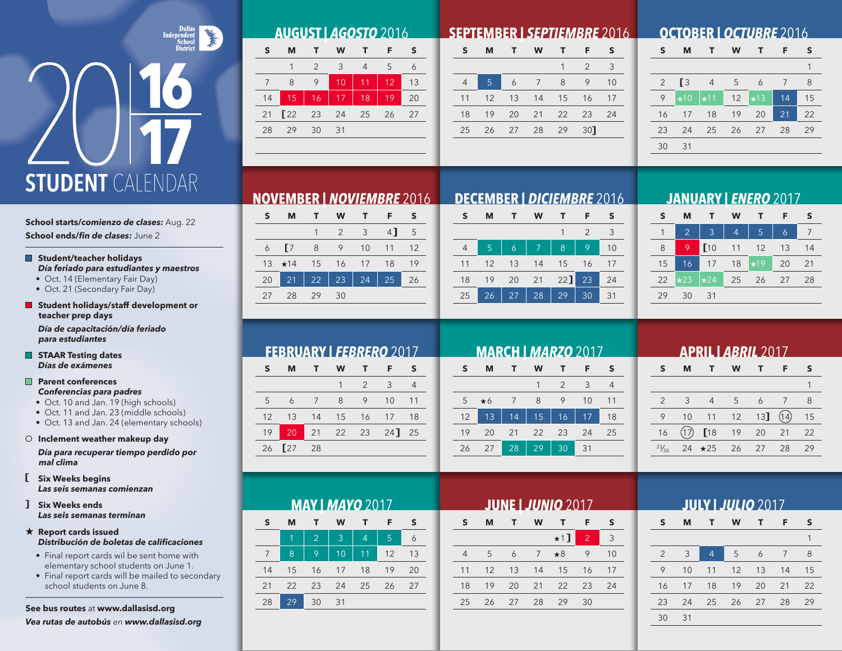# **STUDENT** CALENDAR

**School starts/***comienzo de clases:* Aug. 22 **School ends/***fin de clases:* June 2

### **Student/teacher holidays** *Día feriado para estudiantes y maestros*

- Oct. 14 (Elementary Fair Day)
- Oct. 21 (Secondary Fair Day)
- **Student holidays/staff development or teacher prep days**

*Día de capacitación/día feriado para estudiantes*

**STAAR Testing dates** *Días de exámenes*

### **Parent conferences** *Conferencias para padres*

• Oct. 10 and Jan. 19 (high schools)

- Oct. 11 and Jan. 23 (middle schools)
- Oct. 13 and Jan. 24 (elementary schools)

### **Inclement weather makeup day**

*Día para recuperar tiempo perdido por mal clima*

- **Six Weeks begins** *Las seis semanas comienzan*
- **Six Weeks ends** *Las seis semanas terminan*

### **Report cards issued** *Distribución de boletas de calificaciones*

- Final report cards wil be sent home with elementary school students on June 1.
- Final report cards will be mailed to secondary school students on June 8.

**See bus routes** at **www.dallasisd.org**

*Vea rutas de autobús en www.dallasisd.org*

| <b>AUGUST   AGOSTO 2016</b> |  |     |         |  |                 |        |  |  |
|-----------------------------|--|-----|---------|--|-----------------|--------|--|--|
| <b>S</b>                    |  |     | MT WT F |  |                 | $\sim$ |  |  |
|                             |  | 2 3 |         |  | $4\overline{5}$ |        |  |  |
|                             |  |     |         |  |                 |        |  |  |

|     |                      |     | $-10$ | $111$ 12 $\overline{1}$ | -13        |
|-----|----------------------|-----|-------|-------------------------|------------|
|     | 14 15 16 17 18 19    |     |       |                         | $\vert$ 20 |
|     | 21 22 23 24 25 26 27 |     |       |                         |            |
| 28. | 29                   | -30 | - 31  |                         |            |
|     |                      |     |       |                         |            |

### **SEPTEMBER |** *SEPTIEMBRE* 2016

| S              | М              | т.    | W  | т                  | F   | S  |
|----------------|----------------|-------|----|--------------------|-----|----|
|                |                |       |    |                    | 2   | 3  |
| $\overline{4}$ | $\overline{5}$ | 6     | 7  | 8                  | 9   | 10 |
| 11             |                |       |    | 12  13  14  15  16 |     | 17 |
| 18             | 19             | 20 21 |    | 22 23              |     | 24 |
| 25             | 26             | 27    | 28 | 29                 | 30] |    |
|                |                |       |    |                    |     |    |

## **OCTOBER |** *OCTUBRE* 2016

| S              | M          |                | W  |            | F  | S  |
|----------------|------------|----------------|----|------------|----|----|
|                |            |                |    |            |    | 1  |
| $\overline{2}$ | <b>[3</b>  | $\overline{4}$ | 5  | 6          | 7  | 8  |
| 9              | $\star$ 10 | $\star$ 11     | 12 | $\star$ 13 | 14 | 15 |
| 16             | 17         | 18             | 19 | 20         | 21 | 22 |
| 23             | 24         | 25             | 26 | 27         | 28 | 29 |
| 30             | 31         |                |    |            |    |    |
|                |            |                |    |            |    |    |

# **NOVEMBER |** *NOVIEMBRE* 2016 **DECEMBER |** *DICIEMBRE* 2016

|    | м            |            | <b>W</b>               | $\blacksquare$ | F.             | -S |
|----|--------------|------------|------------------------|----------------|----------------|----|
|    |              |            | $2^{\circ}$            | 3 <sup>7</sup> | 4              | -5 |
| 6  | $\sqrt{7}$   | 8          | 9                      | 10             | 11             | 12 |
|    | $13 \div 14$ | 15         | 16                     | 17             | 18             | 19 |
| 20 | $\sqrt{21}$  | $\vert$ 22 | 23   24 $\overline{ }$ |                | $\frac{1}{25}$ | 26 |
| 27 | 28           | - 29       | 30                     |                |                |    |

| S  | м  |    | W  |        | F             |    |
|----|----|----|----|--------|---------------|----|
|    |    |    |    |        | $\mathcal{P}$ | 3  |
|    | 5  | 6  | 7  | 8      | 9             | 10 |
| 11 | 12 | 13 | 14 | 15     | 16            | 17 |
| 18 | 19 | 20 | 21 | $22$ ] | 23            | 24 |
| 25 | 26 | 27 | 28 | 29     | 30            | 31 |

### **JANUARY |** *ENERO* 2017

| S  | м              |             | w              | т          | F  | s  |
|----|----------------|-------------|----------------|------------|----|----|
|    | $\overline{2}$ | 3           | $\overline{4}$ | 5          | 6  |    |
| 8  | 9              | $\Gamma$ 10 | 11             | 12         | 13 | 14 |
| 15 | 16             | 17          | 18             | $\star$ 19 | 20 | 21 |
| 22 | $\star$ 23     | $\star 24$  | 25             | 26         | 27 | 28 |
| 29 | 30             | 31          |                |            |    |    |

# **FEBRUARY |** *FEBRERO* 2017

| S  | м              | $\mathbf{T}$   | W | T              | - F                  | S     |
|----|----------------|----------------|---|----------------|----------------------|-------|
|    |                |                |   | $\overline{2}$ | $\beta$              |       |
| 5  | $\overline{a}$ | $\overline{7}$ | 8 | 9              | 10                   | $-11$ |
|    |                |                |   |                | 12 13 14 15 16 17 18 |       |
| 19 | $-20$          | $\vert$ 21     |   |                | 22 23 24 25          |       |
|    | 26 $\sqrt{27}$ | 28             |   |                |                      |       |

| <b>MAY   MAYO 2017</b> |    |                |    |    |    |    |  |  |  |
|------------------------|----|----------------|----|----|----|----|--|--|--|
| S                      | M  | т              | W  | т  | F  | S  |  |  |  |
|                        | 1  | $\overline{2}$ | 3  | 4  | 5  | 6  |  |  |  |
| 7                      | 8  | 9              | 10 | 11 | 12 | 13 |  |  |  |
| 14                     | 15 | 16             | 17 | 18 | 19 | 20 |  |  |  |
| 21                     | 22 | 23             | 24 | 25 | 26 | 27 |  |  |  |
| 28                     | 29 | 30             | 31 |    |    |    |  |  |  |

| <b>MARCH   MARZO 2017</b> |           |    |    |                |    |    |  |  |  |
|---------------------------|-----------|----|----|----------------|----|----|--|--|--|
| S                         | M         | т  | W  | т              | F  | S  |  |  |  |
|                           |           |    |    | $\mathfrak{D}$ | 3  | 4  |  |  |  |
| 5                         | $\star$ 6 | 7  | 8  | 9              | 10 | 11 |  |  |  |
| 12                        | 13        | 14 | 15 | 16             | 17 | 18 |  |  |  |
| 19                        | 20        | 21 | 22 | 23             | 24 | 25 |  |  |  |
| 26                        | 27        | 28 | 29 | 30             | 31 |    |  |  |  |

# **APRIL |** *ABRIL* 2017 **S M T W T F S** 1 2 3 4 5 6 7 8 9 10 11 12 13  $(14)$  15 16 17 18 19 20 21 22  $23/30$  24  $\star 25$  26 27 28 29

# **JUNE |** *JUNIO* 2017

| S              | м  |       | W            |                | F              | S  |
|----------------|----|-------|--------------|----------------|----------------|----|
|                |    |       |              | $\star$ 1]     | $\overline{2}$ | 3  |
| $\overline{4}$ | .5 | 6     | $7 \times 8$ |                | 9              | 10 |
| 11             |    |       |              | 12 13 14 15 16 |                | 17 |
| 18             | 19 | 20 21 |              | 22 23          |                | 24 |
| 25             | 26 | 27    | 28           | 29             | 30             |    |
|                |    |       |              |                |                |    |

| <b>JULY   JULIO 2017</b> |    |                |    |    |    |    |  |  |  |
|--------------------------|----|----------------|----|----|----|----|--|--|--|
| S                        | M  | т              | W  | т  | F  | S  |  |  |  |
|                          |    |                |    |    |    | 1  |  |  |  |
| 2                        | 3  | $\overline{4}$ | 5  | 6  | 7  | 8  |  |  |  |
| 9                        | 10 | 11             | 12 | 13 | 14 | 15 |  |  |  |
| 16                       | 17 | 18             | 19 | 20 | 21 | 22 |  |  |  |
| 23                       | 24 | 25             | 26 | 27 | 28 | 29 |  |  |  |
| 30                       | 31 |                |    |    |    |    |  |  |  |